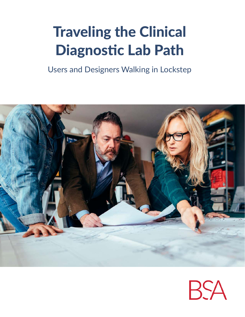## Traveling the Clinical Diagnostic Lab Path

Users and Designers Walking in Lockstep



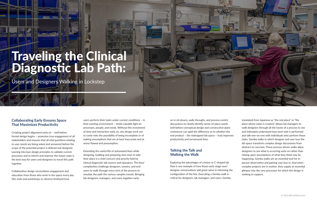#### Collaborating Early Ensures Space That Maximizes Productivity

Creating project alignment early on – well before formal design begins – promotes true engagement of all stakeholders and ensures that all vital questions relating to user needs are being asked and answered before the scope of the potential project is defined and designed. Leaning into lean design principles to validate current processes and to inform and improve the future state is the best way for users and designers to travel this path together.

Collaborative design necessitates engagement and education from those who work in the space every day. Site visits and workshops to observe firsthand how

users perform their tasks under current conditions – in their existing environment – sheds valuable light on processes, people, and needs. Without this investment of time and interaction early on, any design work yet to come risks the possibility of being incomplete or of making assumptions that are at best inaccurate and at worst flawed and presumptive.

Extending the useful life of automated lines while designing, building and preparing new ones to take their place is a chief concern and priority held by clinical diagnostic lab owners and operators. The lines' complexities challenge designers, owners, and endusers to walk through every inch of the process to emulate the path the various samples travels. Bringing lab designers, managers, and users together early

on in sit-downs, walk-throughs, and process-centric discussions to clearly identify sense-of-place needs well before conceptual design and construction plans commence can spell the difference as to whether the end product – the redesigned lab space – truly improves productivity and turnaround time.

#### Talking the Talk and Walking the Walk

Exploring the advantages of a linear or C-shaped lab flow is one example of how these early-stage user/ designer conversations add great value in informing the configuration of the line. Executing a Gemba walk is critical for designers, lab managers, and users. Gemba,



# Traveling the Clinical Diagnostic Lab Path:

Users and Designers Walking in Lockstep

translated from Japanese as "the real place" or "the place where value is created," allows lab managers to walk designers through all the facets of a process to see and intimately understand how each task is performed and talk one-on-one with individuals who perform these tasks. Gemba walks in which designer and user tour the lab space transform complex design discussions from abstract to concrete. These process-driven walks allow designers to see what is occurring early on rather than relying upon assumptions of what they think may be happening. Gemba walks are an essential tool for inperson observation and gaining user buy-in. And when complex projects are in motion, they supply an essential glimpse into the very processes for which the design is seeking to support.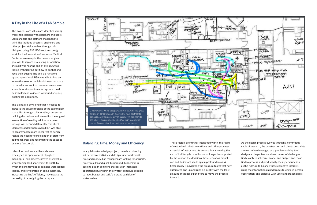### A Day in the Life of a Lab Sample

The owner's core values are identified during workshop sessions with designers and users. Lab managers and staff are challenged to think like facilities directors, engineers, and other project stakeholders through this dialogue. Using BSA LifeStructures' design work for the University of Nebraska Medical Center as an example, the owner's original goal was to replace its existing automation line as it was nearing end-of-life. BSA was tasked with figuring out how to do that and keep their existing line and lab functions up and operational. BSA was able to find an innovative solution which adds new lab space to the adjacent roof to create a space where a new laboratory automation system could be installed and validated without disrupting existing lab operations.

The client also envisioned that it needed to increase the square footage of the existing lab space. But through collaborative, consensusbuilding discussions and site walks, the original assumption of needing additional square footage was defined differently. The client ultimately added space overall but was able to accommodate more linear feet of bench, realize the need for consolidation of staff from additional areas and reconfigure the space to be more functional.

Labs siloed and isolated by walls were redesigned as open concept. Spaghetti mapping, a Lean process, proved essential in straightening (and shortening) the path by which the line traveled as samples were logged, tagged, and refrigerated. In some instances, increasing the line's efficiency may negate the necessity of redesigning the lab space.

#### Balancing Time, Money and Efficiency

In any laboratory design project, there is a balancing act between creativity and design functionality with time and money. Lab managers are looking for accurate, timely results and quick turnaround. Leadership is seeking design solutions that result in increased operational ROI within the swiftest schedule possible to meet budget and satisfy a broad coalition of stakeholders.

These factors are further intensified within the realm of customized robotic workflows and other processessential infrastructure. As automation is nearing the end of its life cycle or will soon no longer be supported by the vendor, the decisions these scenarios propel can and do impact lab design in profound ways. A fierce reality is navigating the pressure to get that new automated line up and running quickly with the least amount of capital expenditure to move the process forward.

As the design process evolves through a continuous cycle of research, the construction and client constraints are real. When leveraged as a problem-solving tool, design can help clients address the set of challenges tied closely to schedule, scope, and budget, and those tied to process and productivity. Designers function as the fulcrum to balance these collective interests using the information gained from site visits, in-person observation, and dialogue with users and stakeholders.

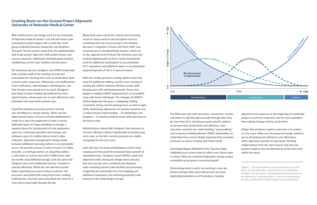#### Creating Boots-on-the-Ground Project Alignment: University of Nebraska Medical Center

Blood bank users voiced the critical need of having access to tissue services and transplant services, something that was not occurring in the existing lab space. Congestion of back-and-forth traffic was occurring due to the blood bank location, which sat on the opposite end of where the reference area was located. Regional path services' needs included the need for additional workstations to accommodate 24/7 operations and additional space to accommodate projected growth of 10 to 15 percent yearly.

With the sizable growth in testing volume comes the need for additional staffing, and the cross-training of existing lab staff to maintain efficiency levels while keeping pace with anticipated growth. Smart, lean design is enabling UNMC diagnosticians to accomplish more with fewer individuals. The redesign of UNMC's clinical diagnostic lab space is mitigating staffing constraints during normal working hours as well as night shifts. Maximizing adjacencies for priority functions was a critical mutual understanding – of stakeholders and designers – in meeting existing needs while planning for the future state.

Administrators shared with designers their pressure to increase efficiency without significantly increasing longterm costs, as the lab's current processes are widely recognized for low test costs.

Later that day, the team workshopped current state mapping and discussed the projected future growth of automation lines. Designers heard UNMC's goals and objectives while sharing the design team's process. Day two saw the same combined user-designer team reviewing current state facilities and processes, integrating the automation line into mapping and additional equipment, and reviewing potential code impacts to the initial design concept.



The BSA team met with executives, researchers, faculty, and others to talk through and walk through what they do, how they do it, and discuss space-specific options to increase their productivity and efficiency. User education, practical use understanding, "spacewalking," and consensus-building allowed UNMC stakeholders to understand how current design impacted their everyday processes as well as existing and future needs.

Lab Design Begins Well Before Pen Touches Paper Validating your current state to inform your future state is critical. Will your envisioned laboratory design project accomplish actual goals or perceived goals?

Determining what is and is not working in your lab before redesign takes place will prevent you from duplicating limitations and frustrations. Gaining

BSA LifeStructures' pre-design work for the University of Nebraska Medical Center's core lab and future state assessments project began with a multi-day, small group workshop between leadership and designers. The goal? To hear project needs from the administration and create project alignment with project drivers and success measures. Additional workshop goals included establishing current state facilities and processes.

On workshop day one, designers and UNMC leadership took a Gemba walk of the existing core lab and automated line, learning from users in detail about their current routes, processes, efficiencies, and inefficiencies. A key inefficiency, administrators told designers, was that the labs were spread out too much. Designers also heard of other existing lab inefficiencies from administrators, whose goal was to seek efficiencies that translated into even better patient care.

Good flow between receiving and the core lab was identified as a design priority. Other specific departmental space concerns included phlebotomy's needs for a place for paperwork to land; a secure, dedicated space for large quantities of storage; a separate space for storing point-of-care equipment; space for continuing education and training; and adequate space for mobile devices used in data collection. Specimen management's design needs included additional receiving stations to accommodate up to a 10 percent increase in tests of some 3.3 million annually; a centrifuge station; an aliquoting station; a call center to receive more than 9,000 phone calls per month; and additional storage. Core lab users told designers they were landlocked and too crowded to operate efficiently. While the core lab had recently begun operating two new urinalysis analyzers, the processes associated with using these were creating inefficiencies. Core lab users articulated the need for a more direct travel path through the lab.

alignment and consensus at the beginning of a potential project is much less expensive and far more expedient than making changes during construction.

Design that produces superior outcomes is as unique as is its users. Make sure the proposed design solutions you're developing are tailored to your laboratory staff's objectives and day-to-day needs. Working collaboratively from the start ensures that the end product supports the entrepreneurial minds who work within the space.

ABOVE | *Determining what is and is not working in your lab before redesign takes place will prevent you from duplicating limitations and frustrations. Gaining alignment and consensus at the beginning of a potential project is much less expensive and far more expedient than making changes during construction.*